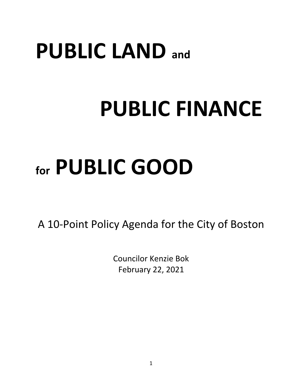# **PUBLIC LAND and**

# **PUBLIC FINANCE**

# **for PUBLIC GOOD**

A 10-Point Policy Agenda for the City of Boston

Councilor Kenzie Bok February 22, 2021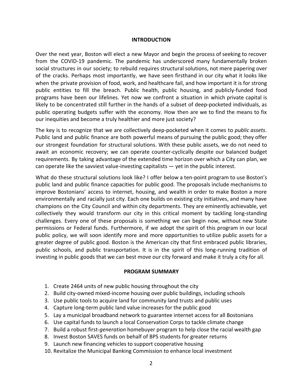#### **INTRODUCTION**

Over the next year, Boston will elect a new Mayor and begin the process of seeking to recover from the COVID-19 pandemic. The pandemic has underscored many fundamentally broken social structures in our society; to rebuild requires structural solutions, not mere papering over of the cracks. Perhaps most importantly, we have seen firsthand in our city what it looks like when the private provision of food, work, and healthcare fail, and how important it is for strong public entities to fill the breach. Public health, public housing, and publicly-funded food programs have been our lifelines. Yet now we confront a situation in which private capital is likely to be concentrated still further in the hands of a subset of deep-pocketed individuals, as public operating budgets suffer with the economy. How then are we to find the means to fix our inequities and become a truly healthier and more just society?

The key is to recognize that we are collectively deep-pocketed when it comes to *public assets*. Public land and public finance are both powerful means of pursuing the public good; they offer our strongest foundation for structural solutions. With these public assets, we do not need to await an economic recovery; we can operate counter-cyclically despite our balanced budget requirements. By taking advantage of the extended time horizon over which a City can plan, we can operate like the savviest value-investing capitalists — yet in the public interest.

What do these structural solutions look like? I offer below a ten-point program to use Boston's public land and public finance capacities for public good. The proposals include mechanisms to improve Bostonians' access to internet, housing, and wealth in order to make Boston a more environmentally and racially just city. Each one builds on existing city initiatives, and many have champions on the City Council and within city departments. They are eminently achievable, yet collectively they would transform our city in this critical moment by tackling long-standing challenges. Every one of these proposals is something we can begin now, without new State permissions or Federal funds. Furthermore, if we adopt the spirit of this program in our local public policy, we will soon identify more and more opportunities to utilize public assets for a greater degree of public good. Boston is the American city that first embraced public libraries, public schools, and public transportation. It is in the spirit of this long-running tradition of investing in public goods that we can best move our city forward and make it truly a city for all.

#### **PROGRAM SUMMARY**

- 1. Create 2464 units of new public housing throughout the city
- 2. Build city-owned mixed-income housing over public buildings, including schools
- 3. Use public tools to acquire land for community land trusts and public uses
- 4. Capture long-term public land value increases for the public good
- 5. Lay a municipal broadband network to guarantee internet access for all Bostonians
- 6. Use capital funds to launch a local Conservation Corps to tackle climate change
- 7. Build a robust first-*generation* homebuyer program to help close the racial wealth gap
- 8. Invest Boston SAVES funds on behalf of BPS students for greater returns
- 9. Launch new financing vehicles to support cooperative housing
- 10. Revitalize the Municipal Banking Commission to enhance local investment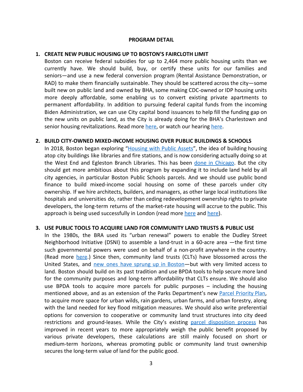#### **PROGRAM DETAIL**

#### **1. CREATE NEW PUBLIC HOUSING UP TO BOSTON'S FAIRCLOTH LIMIT**

Boston can receive federal subsidies for up to 2,464 more public housing units than we currently have. We should build, buy, or certify these units for our families and seniors—and use a new federal conversion program (Rental Assistance Demonstration, or RAD) to make them financially sustainable. They should be scattered across the city—some built new on public land and owned by BHA, some making CDC-owned or IDP housing units more deeply affordable, some enabling us to convert existing private apartments to permanent affordability. In addition to pursuing federal capital funds from the incoming Biden Administration, we can use City capital bond issuances to help fill the funding gap on the new units on public land, as the City is already doing for the BHA's Charlestown and senior housing revitalizations. Read more [here](https://www.youtube.com/watch?v=mBzYu0LVakQ), or watch our hearing here.

#### **2. BUILD CITY-OWNED MIXED-INCOME HOUSING OVER PUBLIC BUILDINGS & SCHOOLS**

In 2018, Boston began exploring "[Housing](https://www.boston.gov/housing/housing-public-assets) with Public Assets", the idea of building housing atop city buildings like libraries and fire stations, and is now considering actually doing so at the West End and Egleston Branch Libraries. This has been done in [Chicago](https://www.nytimes.com/2019/05/15/arts/design/chicago-public-housing.html). But the city should get more ambitious about this program by expanding it to include land held by all city agencies, in particular Boston Public Schools parcels. And we should use public bond finance to build mixed-income social housing on some of these parcels under city ownership. If we hire architects, builders, and managers, as other large local institutions like hospitals and universities do, rather than ceding redevelopment ownership rights to private developers, the long-term returns of the market-rate housing will accrue to the public. This approach is being used successfully in London (read more [here](https://www.nytimes.com/2019/03/01/arts/design/hackney-london-public-housing.html) and [here\)](https://www.theguardian.com/artanddesign/2018/sep/23/council-housing-hackney-colville-estate-kings-crescent-stoke-newington-london).

#### **3. USE PUBLIC TOOLS TO ACQUIRE LAND FOR COMMUNITY LAND TRUSTS & PUBLIC USE**

In the 1980s, the BRA used its "urban renewal" powers to enable the Dudley Street Neighborhood Initiative (DSNI) to assemble a land-trust in a 60-acre area —the first time such governmental powers were used on behalf of a non-profit anywhere in the country. (Read more [here](https://www.yesmagazine.org/issue/cities/2015/01/28/how-one-boston-neighborhood-stopped-gentrification-in-its-tracks/).) Since then, community land trusts (CLTs) have blossomed across the United States, and new ones have sprung up in [Boston—](https://www.dsni.org/greater-boston-community-network)but with very limited access to land. Boston should build on its past tradition and use BPDA tools to help secure more land for the community purposes and long-term affordability that CLTs ensure. We should also use BPDA tools to acquire more parcels for public purposes – including the housing mentioned above, and as an extension of the Parks Department's new Parcel [Priority](https://www.boston.gov/departments/parks-and-recreation/parcel-priority-plan) Plan, to acquire more space for urban wilds, rain gardens, urban farms, and urban forestry, along with the land needed for key flood mitigation measures. We should also write preferential options for conversion to cooperative or community land trust structures into city deed restrictions and ground-leases. While the City's existing parcel [disposition](https://bmrb.org/wp-content/uploads/2018/02/SR18-1Parcel-SaleFINAL.pdf) process has improved in recent years to more appropriately weigh the public benefit proposed by various private developers, these calculations are still mainly focused on short or medium-term horizons, whereas promoting public or community land trust ownership secures the long-term value of land for the public good.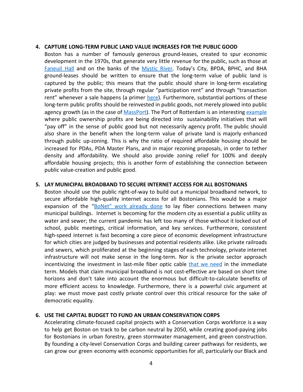### **4. CAPTURE LONG-TERM PUBLIC LAND VALUE INCREASES FOR THE PUBLIC GOOD**

Boston has a number of famously generous ground-leases, created to spur economic development in the 1970s, that generate very little revenue for the public, such as those at [Faneuil](https://commonwealthmagazine.org/economy/faneuil-hall-tenants-landlord-in-standoff/) Hall and on the banks of the [Mystic](https://charlestownbridge.com/2018/05/25/officials-seek-higher-and-better-use-of-leased-land-on-mystic-river/) River. Today's City, BPDA, BPHC, and BHA ground-leases should be written to ensure that the long-term value of public land is captured by the public; this means that the public should share in long-term escalating private profits from the site, through regular "participation rent" and through "transaction rent" whenever a sale happens (a primer [here\)](https://www.mondaq.com/unitedstates/Real-Estate-and-Construction/641482/Public-Private-Development-Aligning-Interests-Through-A-Ground-Lease). Furthermore, substantial portions of these long-term public profits should be reinvested in public goods, not merely plowed into public agency growth (as in the case of [MassPort\)](https://www.bostonherald.com/2012/08/22/massport-reaps-seaport-spoils/). The Port of Rotterdam is an interesting [example](https://www.treasury-management.com/blog/port-of-rotterdam-taking-sustainable-finance-to-the-next-level.html) where public ownership profits are being directed into sustainability initiatives that will "pay off" in the sense of public good but not necessarily agency profit. The public should also share in the benefit when the long-term value of private land is majorly enhanced through public up-zoning. This is why the ratio of required affordable housing should be increased for PDAs, PDA Master Plans, and in major rezoning proposals, in order to tether density and affordability. We should also provide zoning relief for 100% and deeply affordable housing projects; this is another form of establishing the connection between public value-creation and public good.

# **5. LAY MUNICIPAL BROADBAND TO SECURE INTERNET ACCESS FOR ALL BOSTONIANS**

Boston should use the public right-of-way to build out a municipal broadband network, to secure affordable high-quality internet access for all Bostonians. This would be a major expansion of the "BoNet" work [already](https://www.boston.gov/departments/broadband-and-cable/expanding-broadband-boston) done to lay fiber connections between many municipal buildings. Internet is becoming for the modern city as essential a public utility as water and sewer; the current pandemic has left too many of those without it locked out of school, public meetings, critical information, and key services. Furthermore, consistent high-speed internet is fast becoming a core piece of economic development infrastructure for which cities are judged by businesses and potential residents alike. Like private railroads and sewers, which proliferated at the beginning stages of each technology, private internet infrastructure will not make sense in the long-term. Nor is the private sector approach incentivizing the investment in last-mile fiber optic cable that we [need](https://blogs.lse.ac.uk/usappblog/2019/06/23/book-review-fiber-the-coming-tech-revolution-and-why-america-might-miss-it-by-susan-crawford/) in the immediate term. Models that claim municipal broadband is not cost-effective are based on short time horizons and don't take into account the enormous but difficult-to-calculate benefits of more efficient access to knowledge. Furthermore, there is a powerful civic argument at play: we must move past costly private control over this critical resource for the sake of democratic equality.

# **6. USE THE CAPITAL BUDGET TO FUND AN URBAN CONSERVATION CORPS**

Accelerating climate-focused capital projects with a Conservation Corps workforce is a way to help get Boston on track to be carbon neutral by 2050, while creating good-paying jobs for Bostonians in urban forestry, green stormwater management, and green construction. By founding a city-level Conservation Corps and building career pathways for residents, we can grow our green economy with economic opportunities for all, particularly our Black and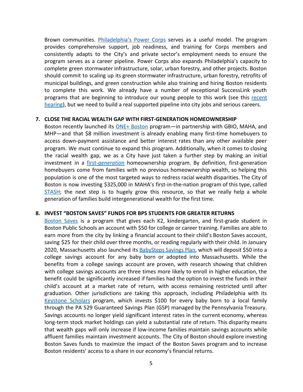Brown communities. *[Philadelphia's](http://powercorpsphl.org/) Power Corps* serves as a useful model. The program provides comprehensive support, job readiness, and training for Corps members and consistently adapts to the City's and private sector's employment needs to ensure the program serves as a career pipeline. Power Corps also expands Philadelphia's capacity to complete green stormwater infrastructure, solar, urban forestry, and other projects. Boston should commit to scaling up its green stormwater infrastructure, urban forestry, retrofits of municipal buildings, and green construction while also training and hiring Boston residents to complete this work. We already have a number of exceptional SuccessLink youth programs that are beginning to introduce our young people to this work (see this [recent](https://www.youtube.com/watch?v=v3F2AJFQ2xQ) [hearing\)](https://www.youtube.com/watch?v=v3F2AJFQ2xQ), but we need to build a real supported pipeline into city jobs and serious careers.

# **7. CLOSE THE RACIAL WEALTH GAP WITH FIRST-GENERATION HOMEOWNERSHIP**

Boston recently launched its ONE+ [Boston](https://www.mhp.net/one-mortgage/one-plus-boston) program—in partnership with GBIO, MAHA, and MHP—and that \$8 million investment is already enabling many first-time homebuyers to access down-payment assistance and better interest rates than any other available peer program. We must continue to expand this program. Additionally, when it comes to closing the racial wealth gap, we as a City have just taken a further step by making an initial investment in a [first-](https://mahahome.org/sites/MAHA-PR1/files/Homeownership%20Justice%20Vision%20Feb%202021.pdf)*[generation](https://mahahome.org/sites/MAHA-PR1/files/Homeownership%20Justice%20Vision%20Feb%202021.pdf)* homeownership program. By definition, first-generation homebuyers come from families with no previous homeownership wealth, so helping this population is one of the most targeted ways to redress racial wealth disparities. The City of Boston is now investing \$325,000 in MAHA's first-in-the-nation program of this type, called [STASH;](https://mahahome.org/STASH) the next step is to hugely grow this resource, so that we really help a whole generation of families build intergenerational wealth for the first time.

#### **8. INVEST "BOSTON SAVES" FUNDS FOR BPS STUDENTS FOR GREATER RETURNS**

[Boston](https://www.boston.gov/departments/schools/boston-saves) Saves is a program that gives each K2, kindergarten, and first-grade student in Boston Public Schools an account with \$50 for college or career training. Families are able to earn more from the city by linking a financial account to their child's Boston Saves account, saving \$25 for their child over three months, or reading regularly with their child. In January 2020, Massachusetts also launched its [BabySteps](https://www.mass.gov/babysteps-savings-plan) Savings Plan, which will deposit \$50 into a college savings account for any baby born or adopted into Massachusetts. While the benefits from a college savings account are proven, with research showing that children with college savings accounts are three times more likely to enroll in higher education, the benefit could be significantly increased if families had the option to invest the funds in their child's account at a market rate of return, with access remaining restricted until after graduation. Other jurisdictions are taking this approach, including Philadelphia with its [Keystone](https://www.pa529.com/keystone/) Scholars program, which invests \$100 for every baby born to a local family through the PA 529 Guaranteed Savings Plan (GSP) managed by the Pennsylvania Treasury. Savings accounts no longer yield significant interest rates in the current economy, whereas long-term stock market holdings can yield a substantial rate of return. This disparity means that wealth gaps will only increase if low-income families maintain savings accounts while affluent families maintain investment accounts. The City of Boston should explore investing Boston Saves funds to maximize the impact of the Boston Saves program and to increase Boston residents' access to a share in our economy's financial returns.